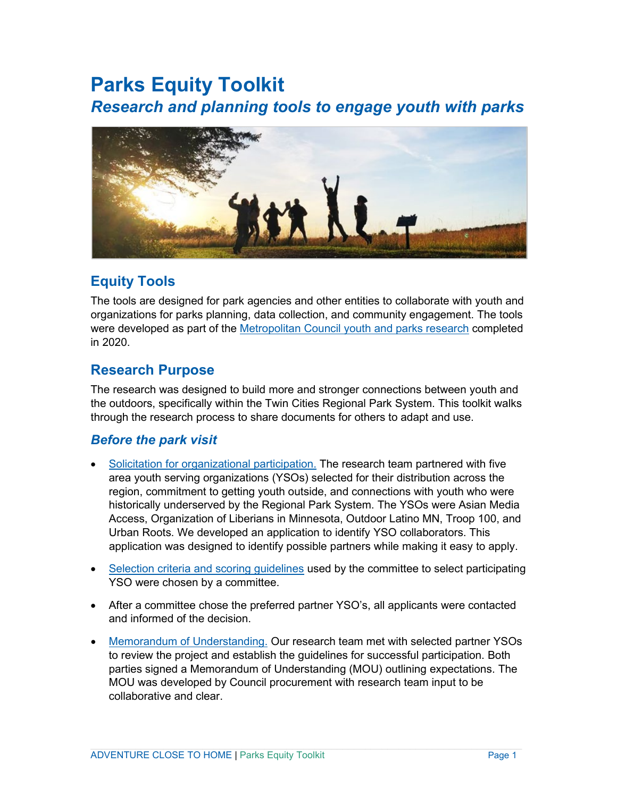# **Parks Equity Toolkit** *Research and planning tools to engage youth with parks*



# **Equity Tools**

The tools are designed for park agencies and other entities to collaborate with youth and organizations for parks planning, data collection, and community engagement. The tools were developed as part of the [Metropolitan](https://metrocouncil.org/Parks/Research/Youth-Parks.aspx) Council youth and parks research completed in 2020.

# **Research Purpose**

The research was designed to build more and stronger connections between youth and the outdoors, specifically within the Twin Cities Regional Park System. This toolkit walks through the research process to share documents for others to adapt and use.

# *Before the park visit*

- Solicitation for [organizational](#page-3-0) participation. The research team partnered with five area youth serving organizations (YSOs) selected for their distribution across the region, commitment to getting youth outside, and connections with youth who were historically underserved by the Regional Park System. The YSOs were Asian Media Access, Organization of Liberians in Minnesota, Outdoor Latino MN, Troop 100, and Urban Roots. We developed an application to identify YSO collaborators. This application was designed to identify possible partners while making it easy to apply.
- Selection criteria and scoring [guidelines](#page-4-0) used by the committee to select participating YSO were chosen by a committee.
- After a committee chose the preferred partner YSO's, all applicants were contacted and informed of the decision.
- Memorandum of [Understanding.](#page-7-0) Our research team met with selected partner YSOs to review the project and establish the guidelines for successful participation. Both parties signed a Memorandum of Understanding (MOU) outlining expectations. The MOU was developed by Council procurement with research team input to be collaborative and clear.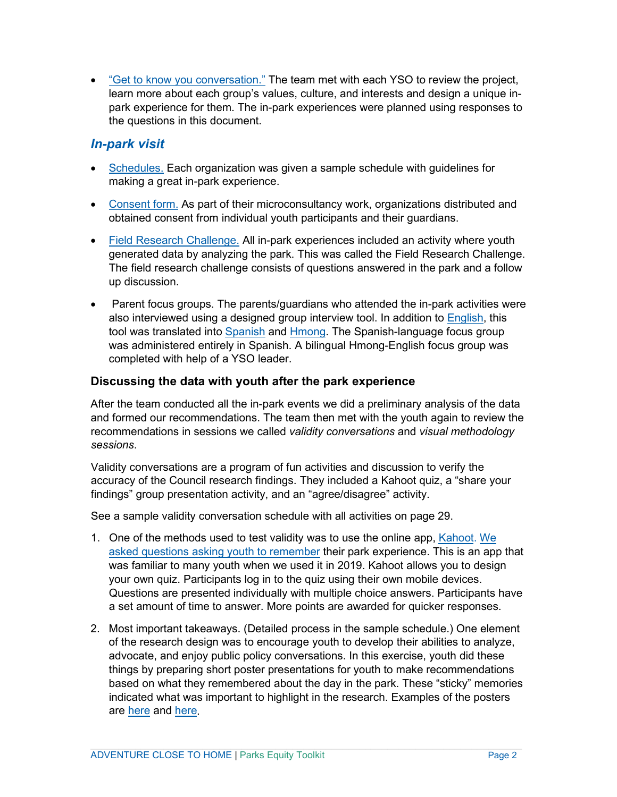• "Get to know you [conversation."](#page-9-0) The team met with each YSO to review the project, learn more about each group's values, culture, and interests and design a unique inpark experience for them. The in-park experiences were planned using responses to the questions in this document.

## *In-park visit*

- [Schedules.](#page-10-0) Each organization was given a sample schedule with guidelines for making a great in-park experience.
- [Consent](#page-12-0) form. As part of their microconsultancy work, organizations distributed and obtained consent from individual youth participants and their guardians.
- [Field Research Challenge.](#page-16-0) All in-park experiences included an activity where youth generated data by analyzing the park. This was called the Field Research Challenge. The field research challenge consists of questions answered in the park and a follow up discussion.
- Parent focus groups. The parents/guardians who attended the in-park activities were also interviewed using a designed group interview tool. In addition to [English,](#page-20-0) this tool was translated into [Spanish](#page-24-0) and [Hmong.](#page-26-0) The Spanish-language focus group was administered entirely in Spanish. A bilingual Hmong-English focus group was completed with help of a YSO leader.

## **Discussing the data with youth after the park experience**

After the team conducted all the in-park events we did a preliminary analysis of the data and formed our recommendations. The team then met with the youth again to review the recommendations in sessions we called *validity conversations* and *visual methodology sessions*.

Validity conversations are a program of fun activities and discussion to verify the accuracy of the Council research findings. They included a Kahoot quiz, a "share your findings" group presentation activity, and an "agree/disagree" activity.

See a sample validity conversation schedule with all activities on page 29.

- 1. One of the methods used to test validity was to use the online app, [Kahoot.](https://kahoot.com/) [We](https://metrocouncil.org/getattachment/31909915-319c-4bd9-9454-14d73bf79714/40.aspx?maxsidesize=800) asked questions asking youth to [remember](https://metrocouncil.org/getattachment/31909915-319c-4bd9-9454-14d73bf79714/40.aspx?maxsidesize=800) their park experience. This is an app that was familiar to many youth when we used it in 2019. Kahoot allows you to design your own quiz. Participants log in to the quiz using their own mobile devices. Questions are presented individually with multiple choice answers. Participants have a set amount of time to answer. More points are awarded for quicker responses.
- 2. Most important takeaways. (Detailed process in the sample schedule.) One element of the research design was to encourage youth to develop their abilities to analyze, advocate, and enjoy public policy conversations. In this exercise, youth did these things by preparing short poster presentations for youth to make recommendations based on what they remembered about the day in the park. These "sticky" memories indicated what was important to highlight in the research. Examples of the posters are [here](https://metrocouncil.org/Parks/Research/Youth-Parks/Process.aspx) and [here.](https://metrocouncil.org/getattachment/d01a37e1-2767-416c-9f33-663d02647ac8/44.aspx?maxsidesize=800)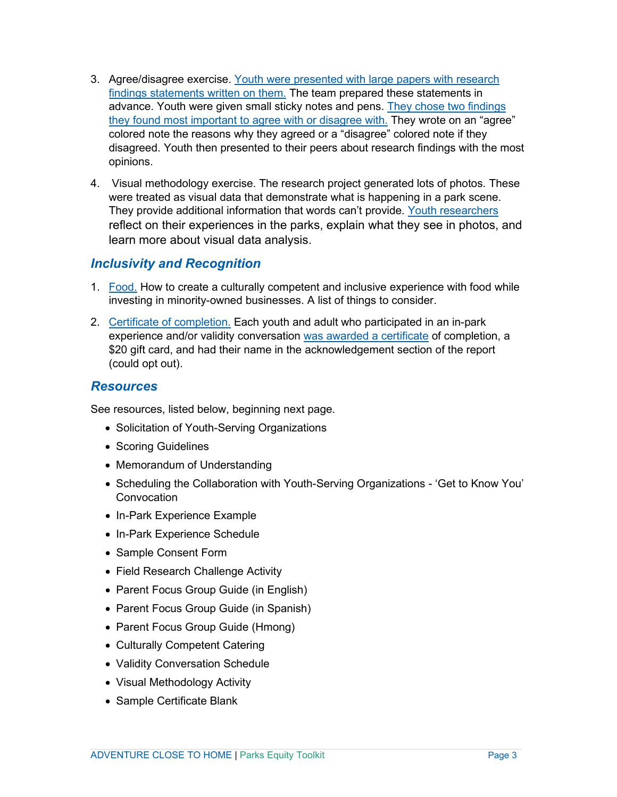- 3. Agree/disagree exercise. Youth were [presented](https://metrocouncil.org/getattachment/b579fc13-dd18-46cb-9622-f7f2209fe851/46.aspx?maxsidesize=800) with large papers with research findings [statements](https://metrocouncil.org/getattachment/b579fc13-dd18-46cb-9622-f7f2209fe851/46.aspx?maxsidesize=800) written on them. The team prepared these statements in advance. Youth were given small sticky notes and pens. They chose two [findings](https://metrocouncil.org/getattachment/7e3df018-88d2-4d53-a0be-1a26eb9efd29/45.aspx?maxsidesize=800) they found most [important](https://metrocouncil.org/getattachment/7e3df018-88d2-4d53-a0be-1a26eb9efd29/45.aspx?maxsidesize=800) to agree with or disagree with. They wrote on an "agree" colored note the reasons why they agreed or a "disagree" colored note if they disagreed. Youth then presented to their peers about research findings with the most opinions.
- 4. Visual methodology exercise. The research project generated lots of photos. These were treated as visual data that demonstrate what is happening in a park scene. They provide additional information that words can't provide. Youth [researchers](https://metrocouncil.org/getattachment/278cdefa-cc73-49d1-a8af-e64b5d9ee911/41.aspx?maxsidesize=800) reflect on their experiences in the parks, explain what they see in photos, and learn more about visual data analysis.

## *Inclusivity and Recognition*

- 1. [Food.](#page-27-0) How to create a culturally competent and inclusive experience with food while investing in minority-owned businesses. A list of things to consider.
- 2. Certificate of [completion.](#page-33-0) Each youth and adult who participated in an in-park experience and/or validity conversation was awarded a [certificate](https://metrocouncil.org/getattachment/5de46ce1-4053-42d3-8ae7-02a4c092efae/36.aspx?maxsidesize=800) of completion, a \$20 gift card, and had their name in the acknowledgement section of the report (could opt out).

## *Resources*

See resources, listed below, beginning next page.

- Solicitation of Youth-Serving Organizations
- Scoring Guidelines
- Memorandum of Understanding
- Scheduling the Collaboration with Youth-Serving Organizations 'Get to Know You' **Convocation**
- In-Park Experience Example
- In-Park Experience Schedule
- Sample Consent Form
- Field Research Challenge Activity
- Parent Focus Group Guide (in English)
- Parent Focus Group Guide (in Spanish)
- Parent Focus Group Guide (Hmong)
- Culturally Competent Catering
- Validity Conversation Schedule
- Visual Methodology Activity
- Sample Certificate Blank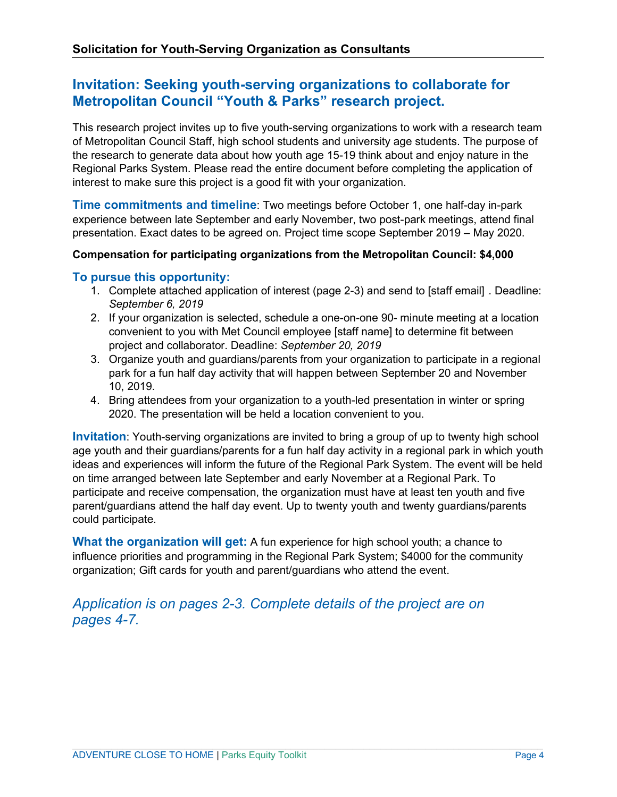# <span id="page-3-0"></span>**Invitation: Seeking youth-serving organizations to collaborate for Metropolitan Council "Youth & Parks" research project.**

This research project invites up to five youth-serving organizations to work with a research team of Metropolitan Council Staff, high school students and university age students. The purpose of the research to generate data about how youth age 15-19 think about and enjoy nature in the Regional Parks System. Please read the entire document before completing the application of interest to make sure this project is a good fit with your organization.

**Time commitments and timeline**: Two meetings before October 1, one half-day in-park experience between late September and early November, two post-park meetings, attend final presentation. Exact dates to be agreed on. Project time scope September 2019 – May 2020.

## **Compensation for participating organizations from the Metropolitan Council: \$4,000**

## **To pursue this opportunity:**

- 1. Complete attached application of interest (page 2-3) and send to [staff email] *Deadline: September 6, 2019*
- 2. If your organization is selected, schedule a one-on-one 90- minute meeting at a location convenient to you with Met Council employee [staff name] to determine fit between project and collaborator. Deadline: *September 20, 2019*
- 3. Organize youth and guardians/parents from your organization to participate in a regional park for a fun half day activity that will happen between September 20 and November 10, 2019.
- 4. Bring attendees from your organization to a youth-led presentation in winter or spring 2020. The presentation will be held a location convenient to you.

**Invitation**: Youth-serving organizations are invited to bring a group of up to twenty high school age youth and their guardians/parents for a fun half day activity in a regional park in which youth ideas and experiences will inform the future of the Regional Park System. The event will be held on time arranged between late September and early November at a Regional Park. To participate and receive compensation, the organization must have at least ten youth and five parent/guardians attend the half day event. Up to twenty youth and twenty guardians/parents could participate.

**What the organization will get:** A fun experience for high school youth; a chance to influence priorities and programming in the Regional Park System; \$4000 for the community organization; Gift cards for youth and parent/guardians who attend the event.

# *Application is on pages 2-3. Complete details of the project are on pages 4-7.*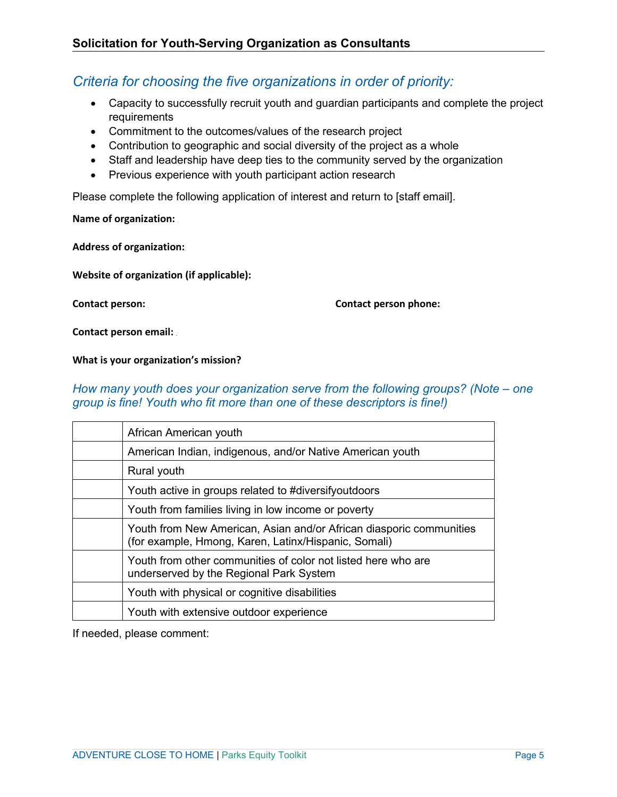# <span id="page-4-0"></span>*Criteria for choosing the five organizations in order of priority:*

- Capacity to successfully recruit youth and guardian participants and complete the project requirements
- Commitment to the outcomes/values of the research project
- Contribution to geographic and social diversity of the project as a whole
- Staff and leadership have deep ties to the community served by the organization
- Previous experience with youth participant action research

Please complete the following application of interest and return to [staff email].

**Name of organization:** 

**Address of organization:** 

**Website of organization (if applicable):** 

**Contact person:** *37T* **Contact person phone:***37T*

**Contact person email:** 

**What is your organization's mission?**

## *How many youth does your organization serve from the following groups? (Note – one group is fine! Youth who fit more than one of these descriptors is fine!)*

| African American youth                                                                                                      |
|-----------------------------------------------------------------------------------------------------------------------------|
| American Indian, indigenous, and/or Native American youth                                                                   |
| Rural youth                                                                                                                 |
| Youth active in groups related to #diversifyoutdoors                                                                        |
| Youth from families living in low income or poverty                                                                         |
| Youth from New American, Asian and/or African diasporic communities<br>(for example, Hmong, Karen, Latinx/Hispanic, Somali) |
| Youth from other communities of color not listed here who are<br>underserved by the Regional Park System                    |
| Youth with physical or cognitive disabilities                                                                               |
| Youth with extensive outdoor experience                                                                                     |
|                                                                                                                             |

If needed, please comment: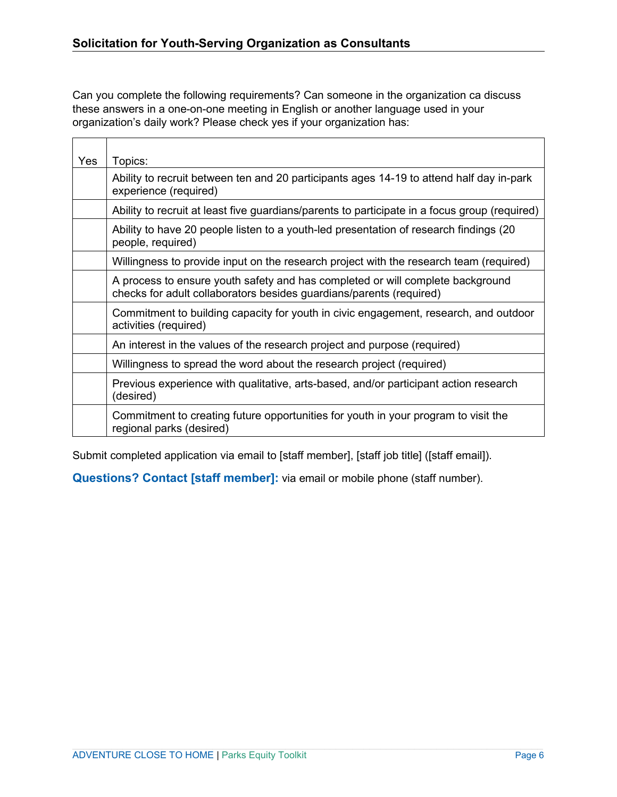$\blacksquare$ 

 $\top$ 

Can you complete the following requirements? Can someone in the organization ca discuss these answers in a one-on-one meeting in English or another language used in your organization's daily work? Please check yes if your organization has:

| Yes | Topics:                                                                                                                                               |
|-----|-------------------------------------------------------------------------------------------------------------------------------------------------------|
|     | Ability to recruit between ten and 20 participants ages 14-19 to attend half day in-park<br>experience (required)                                     |
|     | Ability to recruit at least five guardians/parents to participate in a focus group (required)                                                         |
|     | Ability to have 20 people listen to a youth-led presentation of research findings (20<br>people, required)                                            |
|     | Willingness to provide input on the research project with the research team (required)                                                                |
|     | A process to ensure youth safety and has completed or will complete background<br>checks for adult collaborators besides guardians/parents (required) |
|     | Commitment to building capacity for youth in civic engagement, research, and outdoor<br>activities (required)                                         |
|     | An interest in the values of the research project and purpose (required)                                                                              |
|     | Willingness to spread the word about the research project (required)                                                                                  |
|     | Previous experience with qualitative, arts-based, and/or participant action research<br>(desired)                                                     |
|     | Commitment to creating future opportunities for youth in your program to visit the<br>regional parks (desired)                                        |

Submit completed application via email to [staff member], [staff job title] ([staff email]).

**Questions? Contact [staff member]:** via email or mobile phone (staff number).

┑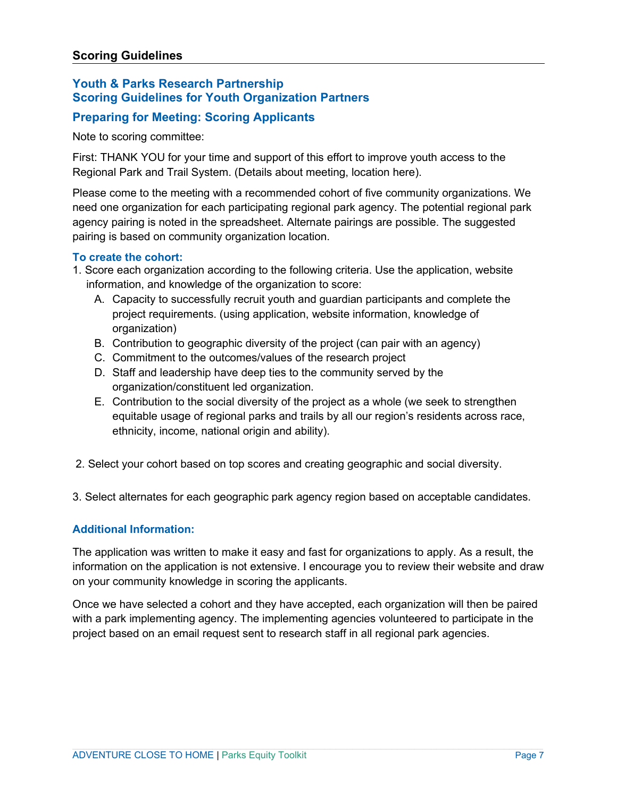## **Youth & Parks Research Partnership Scoring Guidelines for Youth Organization Partners**

## **Preparing for Meeting: Scoring Applicants**

Note to scoring committee:

First: THANK YOU for your time and support of this effort to improve youth access to the Regional Park and Trail System. (Details about meeting, location here).

Please come to the meeting with a recommended cohort of five community organizations. We need one organization for each participating regional park agency. The potential regional park agency pairing is noted in the spreadsheet. Alternate pairings are possible. The suggested pairing is based on community organization location.

## **To create the cohort:**

- 1. Score each organization according to the following criteria. Use the application, website information, and knowledge of the organization to score:
	- A. Capacity to successfully recruit youth and guardian participants and complete the project requirements. (using application, website information, knowledge of organization)
	- B. Contribution to geographic diversity of the project (can pair with an agency)
	- C. Commitment to the outcomes/values of the research project
	- D. Staff and leadership have deep ties to the community served by the organization/constituent led organization.
	- E. Contribution to the social diversity of the project as a whole (we seek to strengthen equitable usage of regional parks and trails by all our region's residents across race, ethnicity, income, national origin and ability).
- 2. Select your cohort based on top scores and creating geographic and social diversity.

3. Select alternates for each geographic park agency region based on acceptable candidates.

## **Additional Information:**

The application was written to make it easy and fast for organizations to apply. As a result, the information on the application is not extensive. I encourage you to review their website and draw on your community knowledge in scoring the applicants.

Once we have selected a cohort and they have accepted, each organization will then be paired with a park implementing agency. The implementing agencies volunteered to participate in the project based on an email request sent to research staff in all regional park agencies.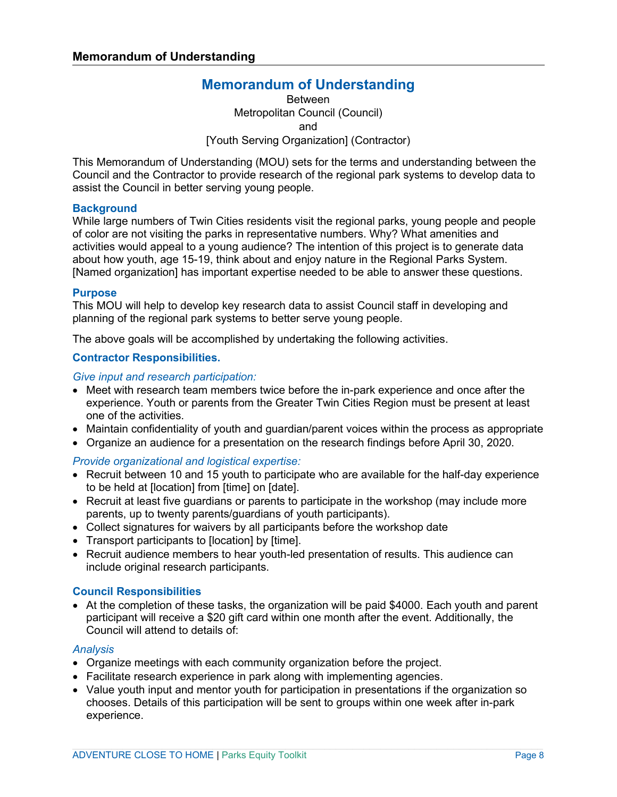# **Memorandum of Understanding**

Between Metropolitan Council (Council) and [Youth Serving Organization] (Contractor)

<span id="page-7-0"></span>This Memorandum of Understanding (MOU) sets for the terms and understanding between the Council and the Contractor to provide research of the regional park systems to develop data to assist the Council in better serving young people.

#### **Background**

While large numbers of Twin Cities residents visit the regional parks, young people and people of color are not visiting the parks in representative numbers. Why? What amenities and activities would appeal to a young audience? The intention of this project is to generate data about how youth, age 15-19, think about and enjoy nature in the Regional Parks System. [Named organization] has important expertise needed to be able to answer these questions.

#### **Purpose**

This MOU will help to develop key research data to assist Council staff in developing and planning of the regional park systems to better serve young people.

The above goals will be accomplished by undertaking the following activities.

## **Contractor Responsibilities.**

*Give input and research participation:*

- Meet with research team members twice before the in-park experience and once after the experience. Youth or parents from the Greater Twin Cities Region must be present at least one of the activities.
- Maintain confidentiality of youth and guardian/parent voices within the process as appropriate
- Organize an audience for a presentation on the research findings before April 30, 2020.

## *Provide organizational and logistical expertise:*

- Recruit between 10 and 15 youth to participate who are available for the half-day experience to be held at [location] from [time] on [date].
- Recruit at least five guardians or parents to participate in the workshop (may include more parents, up to twenty parents/guardians of youth participants).
- Collect signatures for waivers by all participants before the workshop date
- Transport participants to [location] by [time].
- Recruit audience members to hear youth-led presentation of results. This audience can include original research participants.

#### **Council Responsibilities**

• At the completion of these tasks, the organization will be paid \$4000. Each youth and parent participant will receive a \$20 gift card within one month after the event. Additionally, the Council will attend to details of:

#### *Analysis*

- Organize meetings with each community organization before the project.
- Facilitate research experience in park along with implementing agencies.
- Value youth input and mentor youth for participation in presentations if the organization so chooses. Details of this participation will be sent to groups within one week after in-park experience.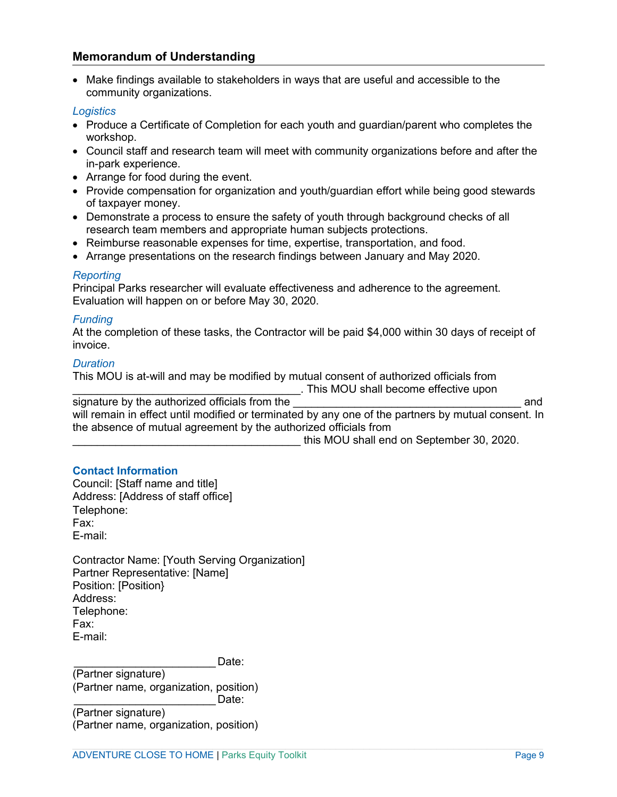## **Memorandum of Understanding**

• Make findings available to stakeholders in ways that are useful and accessible to the community organizations.

#### *Logistics*

- Produce a Certificate of Completion for each youth and guardian/parent who completes the workshop.
- Council staff and research team will meet with community organizations before and after the in-park experience.
- Arrange for food during the event.
- Provide compensation for organization and youth/guardian effort while being good stewards of taxpayer money.
- Demonstrate a process to ensure the safety of youth through background checks of all research team members and appropriate human subjects protections.
- Reimburse reasonable expenses for time, expertise, transportation, and food.
- Arrange presentations on the research findings between January and May 2020.

#### *Reporting*

Principal Parks researcher will evaluate effectiveness and adherence to the agreement. Evaluation will happen on or before May 30, 2020.

#### *Funding*

At the completion of these tasks, the Contractor will be paid \$4,000 within 30 days of receipt of invoice.

#### *Duration*

This MOU is at-will and may be modified by mutual consent of authorized officials from

\_\_\_\_\_\_\_\_\_\_\_\_\_\_\_\_\_\_\_\_\_\_\_\_\_\_\_\_\_\_\_\_\_\_\_\_\_. This MOU shall become effective upon signature by the authorized officials from the **EXAC ENGLISHER 10** and will remain in effect until modified or terminated by any one of the partners by mutual consent. In the absence of mutual agreement by the authorized officials from

this MOU shall end on September 30, 2020.

## **Contact Information**

Council: [Staff name and title] Address: [Address of staff office] Telephone: Fax: E-mail:

Contractor Name: [Youth Serving Organization] Partner Representative: [Name] Position: [Position} Address: Telephone: Fax: E-mail:

Date:

(Partner signature) (Partner name, organization, position) Date:

(Partner signature) (Partner name, organization, position)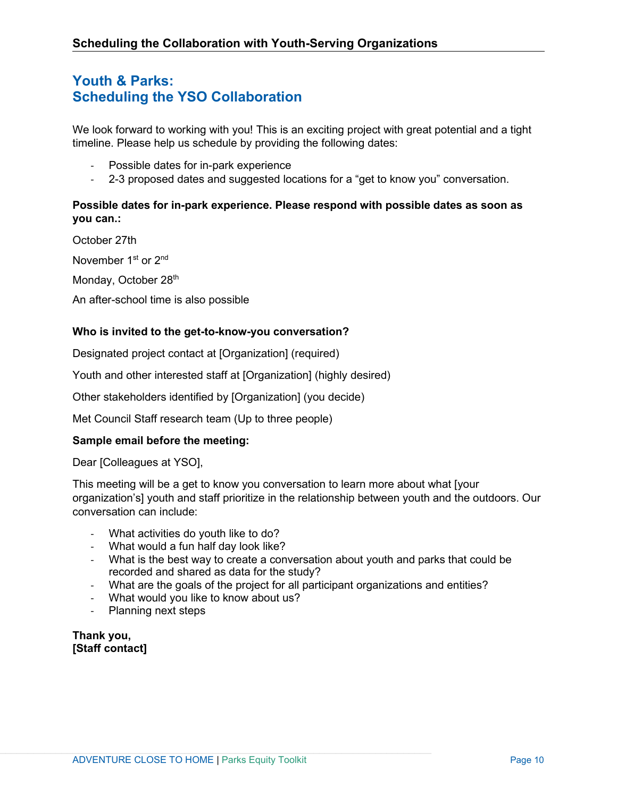# <span id="page-9-0"></span>**Youth & Parks: Scheduling the YSO Collaboration**

We look forward to working with you! This is an exciting project with great potential and a tight timeline. Please help us schedule by providing the following dates:

- Possible dates for in-park experience
- 2-3 proposed dates and suggested locations for a "get to know you" conversation.

## **Possible dates for in-park experience. Please respond with possible dates as soon as you can.:**

October 27th

November 1<sup>st</sup> or 2<sup>nd</sup>

Monday, October 28th

An after-school time is also possible

## **Who is invited to the get-to-know-you conversation?**

Designated project contact at [Organization] (required)

Youth and other interested staff at [Organization] (highly desired)

Other stakeholders identified by [Organization] (you decide)

Met Council Staff research team (Up to three people)

## **Sample email before the meeting:**

Dear [Colleagues at YSO],

This meeting will be a get to know you conversation to learn more about what [your organization's] youth and staff prioritize in the relationship between youth and the outdoors. Our conversation can include:

- What activities do youth like to do?
- What would a fun half day look like?
- What is the best way to create a conversation about youth and parks that could be recorded and shared as data for the study?
- What are the goals of the project for all participant organizations and entities?
- What would you like to know about us?
- Planning next steps

**Thank you, [Staff contact]**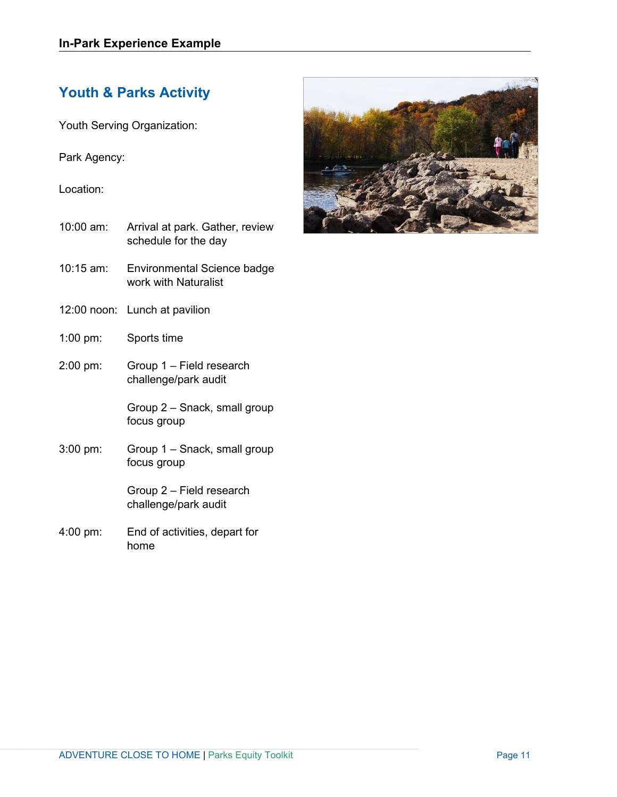# **Youth & Parks Activity**

<span id="page-10-0"></span>Youth Serving Organization:

Park Agency:

Location:

- 10:00 am: Arrival at park. Gather, review schedule for the day
- 10:15 am: Environmental Science badge work with Naturalist
- 12:00 noon: Lunch at pavilion
- 1:00 pm: Sports time
- 2:00 pm: Group 1 Field research challenge/park audit

Group 2 – Snack, small group focus group

3:00 pm: Group 1 – Snack, small group focus group

> Group 2 – Field research challenge/park audit

4:00 pm: End of activities, depart for home

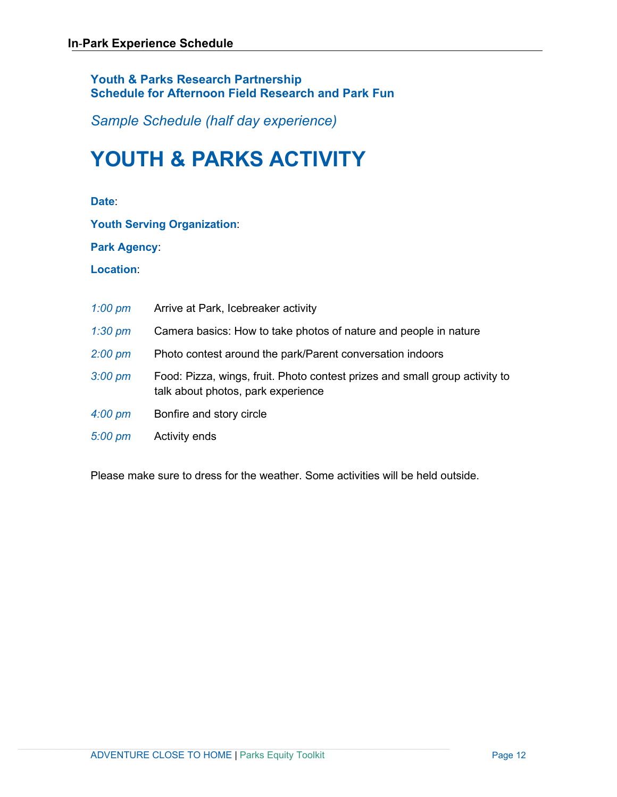## **Youth & Parks Research Partnership Schedule for Afternoon Field Research and Park Fun**

*Sample Schedule (half day experience)*

# **YOUTH & PARKS ACTIVITY**

**Date**:

**Youth Serving Organization**:

**Park Agency**:

**Location**:

| $1:00 \text{ pm}$ | Arrive at Park, Icebreaker activity                                                                               |
|-------------------|-------------------------------------------------------------------------------------------------------------------|
| $1:30 \text{ pm}$ | Camera basics: How to take photos of nature and people in nature                                                  |
| $2:00 \text{ pm}$ | Photo contest around the park/Parent conversation indoors                                                         |
| $3:00 \text{ pm}$ | Food: Pizza, wings, fruit. Photo contest prizes and small group activity to<br>talk about photos, park experience |
| $4:00 \text{ pm}$ | Bonfire and story circle                                                                                          |
| $5:00 \text{ pm}$ | Activity ends                                                                                                     |

Please make sure to dress for the weather. Some activities will be held outside.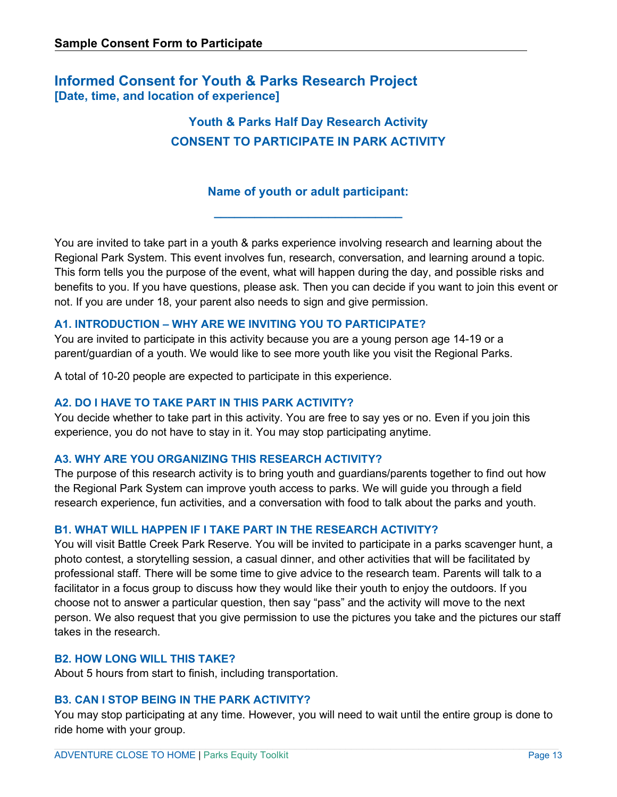# <span id="page-12-0"></span>**Informed Consent for Youth & Parks Research Project [Date, time, and location of experience]**

# **Youth & Parks Half Day Research Activity CONSENT TO PARTICIPATE IN PARK ACTIVITY**

## **Name of youth or adult participant:**

**\_\_\_\_\_\_\_\_\_\_\_\_\_\_\_\_\_\_\_\_\_\_\_\_\_\_\_\_**

You are invited to take part in a youth & parks experience involving research and learning about the Regional Park System. This event involves fun, research, conversation, and learning around a topic. This form tells you the purpose of the event, what will happen during the day, and possible risks and benefits to you. If you have questions, please ask. Then you can decide if you want to join this event or not. If you are under 18, your parent also needs to sign and give permission.

## **A1. INTRODUCTION – WHY ARE WE INVITING YOU TO PARTICIPATE?**

You are invited to participate in this activity because you are a young person age 14-19 or a parent/guardian of a youth. We would like to see more youth like you visit the Regional Parks.

A total of 10-20 people are expected to participate in this experience.

## **A2. DO I HAVE TO TAKE PART IN THIS PARK ACTIVITY?**

You decide whether to take part in this activity. You are free to say yes or no. Even if you join this experience, you do not have to stay in it. You may stop participating anytime.

## **A3. WHY ARE YOU ORGANIZING THIS RESEARCH ACTIVITY?**

The purpose of this research activity is to bring youth and guardians/parents together to find out how the Regional Park System can improve youth access to parks. We will guide you through a field research experience, fun activities, and a conversation with food to talk about the parks and youth.

## **B1. WHAT WILL HAPPEN IF I TAKE PART IN THE RESEARCH ACTIVITY?**

You will visit Battle Creek Park Reserve. You will be invited to participate in a parks scavenger hunt, a photo contest, a storytelling session, a casual dinner, and other activities that will be facilitated by professional staff. There will be some time to give advice to the research team. Parents will talk to a facilitator in a focus group to discuss how they would like their youth to enjoy the outdoors. If you choose not to answer a particular question, then say "pass" and the activity will move to the next person. We also request that you give permission to use the pictures you take and the pictures our staff takes in the research.

## **B2. HOW LONG WILL THIS TAKE?**

About 5 hours from start to finish, including transportation.

## **B3. CAN I STOP BEING IN THE PARK ACTIVITY?**

You may stop participating at any time. However, you will need to wait until the entire group is done to ride home with your group.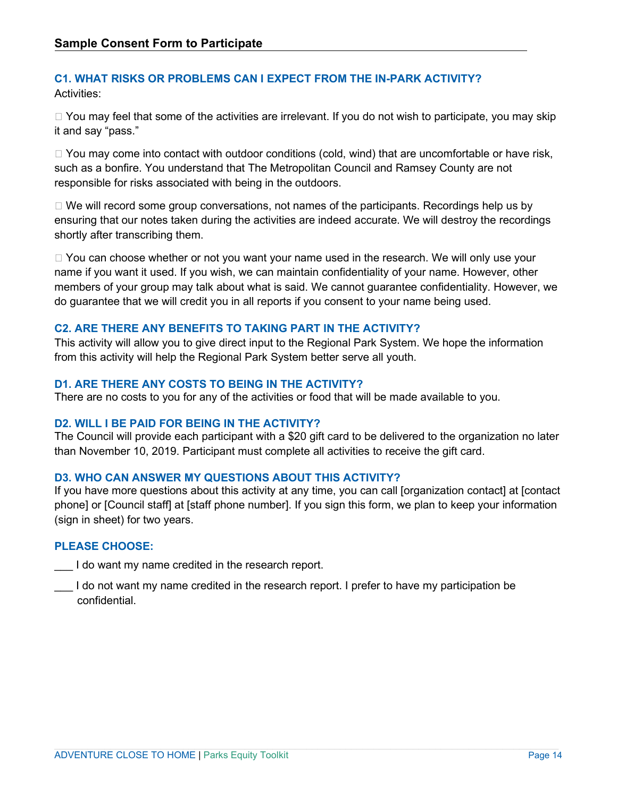## **C1. WHAT RISKS OR PROBLEMS CAN I EXPECT FROM THE IN-PARK ACTIVITY?**  Activities:

 $\Box$  You may feel that some of the activities are irrelevant. If you do not wish to participate, you may skip it and say "pass."

 $\Box$  You may come into contact with outdoor conditions (cold, wind) that are uncomfortable or have risk, such as a bonfire. You understand that The Metropolitan Council and Ramsey County are not responsible for risks associated with being in the outdoors.

 $\Box$  We will record some group conversations, not names of the participants. Recordings help us by ensuring that our notes taken during the activities are indeed accurate. We will destroy the recordings shortly after transcribing them.

□ You can choose whether or not you want your name used in the research. We will only use your name if you want it used. If you wish, we can maintain confidentiality of your name. However, other members of your group may talk about what is said. We cannot guarantee confidentiality. However, we do guarantee that we will credit you in all reports if you consent to your name being used.

## **C2. ARE THERE ANY BENEFITS TO TAKING PART IN THE ACTIVITY?**

This activity will allow you to give direct input to the Regional Park System. We hope the information from this activity will help the Regional Park System better serve all youth.

## **D1. ARE THERE ANY COSTS TO BEING IN THE ACTIVITY?**

There are no costs to you for any of the activities or food that will be made available to you.

## **D2. WILL I BE PAID FOR BEING IN THE ACTIVITY?**

The Council will provide each participant with a \$20 gift card to be delivered to the organization no later than November 10, 2019. Participant must complete all activities to receive the gift card.

## **D3. WHO CAN ANSWER MY QUESTIONS ABOUT THIS ACTIVITY?**

If you have more questions about this activity at any time, you can call [organization contact] at [contact phone] or [Council staff] at [staff phone number]. If you sign this form, we plan to keep your information (sign in sheet) for two years.

## **PLEASE CHOOSE:**

I do want my name credited in the research report.

I do not want my name credited in the research report. I prefer to have my participation be confidential.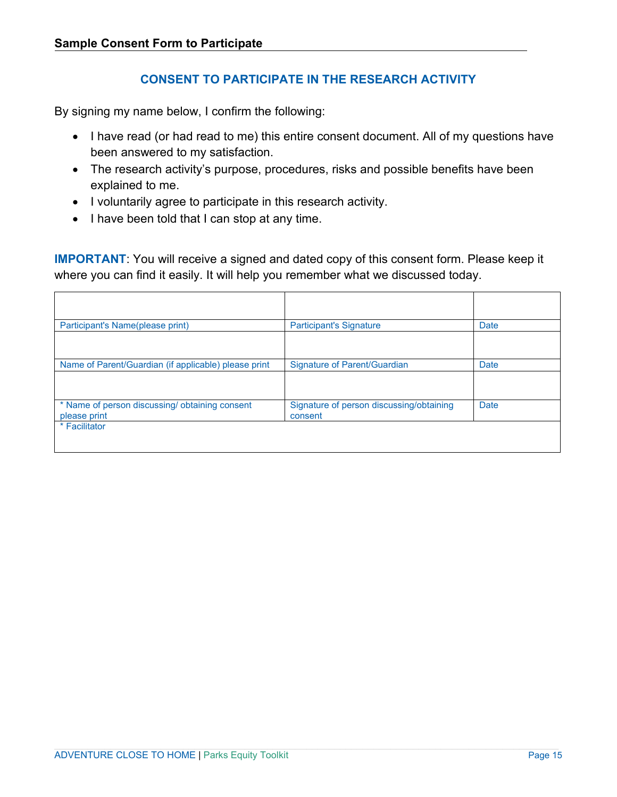## **CONSENT TO PARTICIPATE IN THE RESEARCH ACTIVITY**

By signing my name below, I confirm the following:

- I have read (or had read to me) this entire consent document. All of my questions have been answered to my satisfaction.
- The research activity's purpose, procedures, risks and possible benefits have been explained to me.
- I voluntarily agree to participate in this research activity.
- I have been told that I can stop at any time.

**IMPORTANT**: You will receive a signed and dated copy of this consent form. Please keep it where you can find it easily. It will help you remember what we discussed today.

| Participant's Name(please print)                              | <b>Participant's Signature</b>                      | <b>Date</b> |
|---------------------------------------------------------------|-----------------------------------------------------|-------------|
|                                                               |                                                     |             |
| Name of Parent/Guardian (if applicable) please print          | <b>Signature of Parent/Guardian</b>                 | <b>Date</b> |
|                                                               |                                                     |             |
| * Name of person discussing/obtaining consent<br>please print | Signature of person discussing/obtaining<br>consent | <b>Date</b> |
| * Facilitator                                                 |                                                     |             |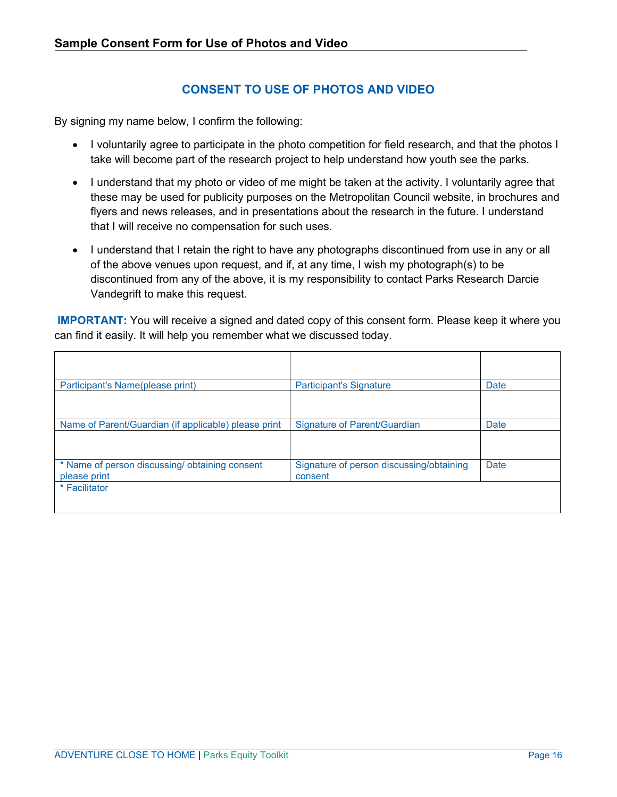## **CONSENT TO USE OF PHOTOS AND VIDEO**

By signing my name below, I confirm the following:

- I voluntarily agree to participate in the photo competition for field research, and that the photos I take will become part of the research project to help understand how youth see the parks.
- I understand that my photo or video of me might be taken at the activity. I voluntarily agree that these may be used for publicity purposes on the Metropolitan Council website, in brochures and flyers and news releases, and in presentations about the research in the future. I understand that I will receive no compensation for such uses.
- I understand that I retain the right to have any photographs discontinued from use in any or all of the above venues upon request, and if, at any time, I wish my photograph(s) to be discontinued from any of the above, it is my responsibility to contact Parks Research Darcie Vandegrift to make this request.

**IMPORTANT:** You will receive a signed and dated copy of this consent form. Please keep it where you can find it easily. It will help you remember what we discussed today.

| Participant's Name(please print)                              | <b>Participant's Signature</b>                      | Date        |
|---------------------------------------------------------------|-----------------------------------------------------|-------------|
|                                                               |                                                     |             |
| Name of Parent/Guardian (if applicable) please print          | <b>Signature of Parent/Guardian</b>                 | <b>Date</b> |
|                                                               |                                                     |             |
| * Name of person discussing/obtaining consent<br>please print | Signature of person discussing/obtaining<br>consent | Date        |
| * Facilitator                                                 |                                                     |             |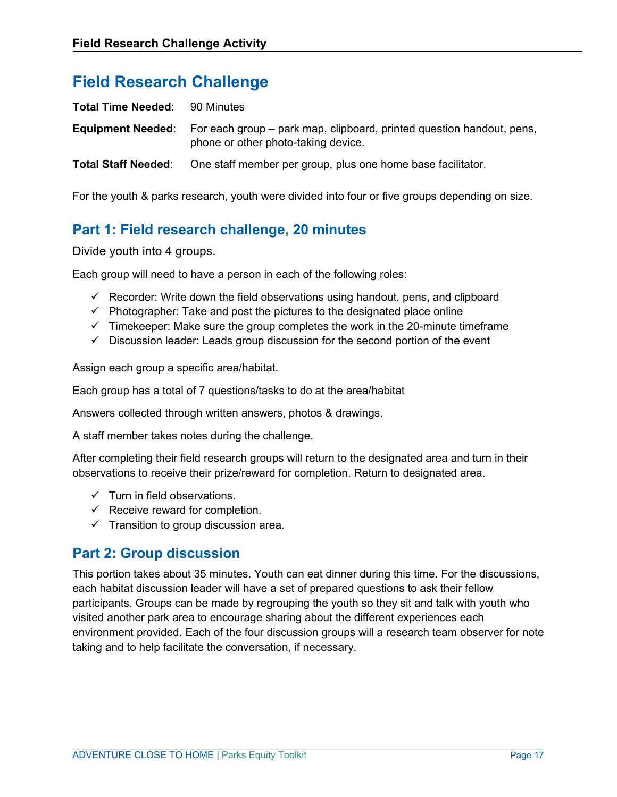# **Field Research Challenge**

| <b>Total Time Needed: 90 Minutes</b> |                                                                                                                                       |
|--------------------------------------|---------------------------------------------------------------------------------------------------------------------------------------|
|                                      | <b>Equipment Needed:</b> For each group – park map, clipboard, printed question handout, pens,<br>phone or other photo-taking device. |
| <b>Total Staff Needed:</b>           | One staff member per group, plus one home base facilitator.                                                                           |

For the youth & parks research, youth were divided into four or five groups depending on size.

# <span id="page-16-0"></span>**Part 1: Field research challenge, 20 minutes**

Divide youth into 4 groups.

Each group will need to have a person in each of the following roles:

- $\checkmark$  Recorder: Write down the field observations using handout, pens, and clipboard
- $\checkmark$  Photographer: Take and post the pictures to the designated place online
- $\checkmark$  Timekeeper: Make sure the group completes the work in the 20-minute timeframe
- $\checkmark$  Discussion leader: Leads group discussion for the second portion of the event

Assign each group a specific area/habitat.

Each group has a total of 7 questions/tasks to do at the area/habitat

Answers collected through written answers, photos & drawings.

A staff member takes notes during the challenge.

After completing their field research groups will return to the designated area and turn in their observations to receive their prize/reward for completion. Return to designated area.

- $\checkmark$  Turn in field observations.
- $\checkmark$  Receive reward for completion.
- $\checkmark$  Transition to group discussion area.

# **Part 2: Group discussion**

This portion takes about 35 minutes. Youth can eat dinner during this time. For the discussions, each habitat discussion leader will have a set of prepared questions to ask their fellow participants. Groups can be made by regrouping the youth so they sit and talk with youth who visited another park area to encourage sharing about the different experiences each environment provided. Each of the four discussion groups will a research team observer for note taking and to help facilitate the conversation, if necessary.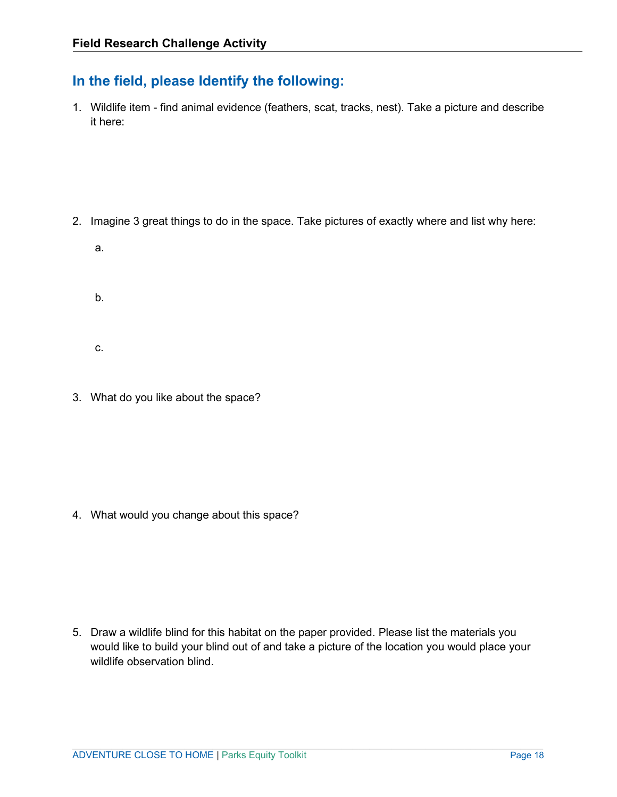# **In the field, please Identify the following:**

1. Wildlife item - find animal evidence (feathers, scat, tracks, nest). Take a picture and describe it here:

- 2. Imagine 3 great things to do in the space. Take pictures of exactly where and list why here:
	- a.

b.

- c.
- 3. What do you like about the space?

4. What would you change about this space?

5. Draw a wildlife blind for this habitat on the paper provided. Please list the materials you would like to build your blind out of and take a picture of the location you would place your wildlife observation blind.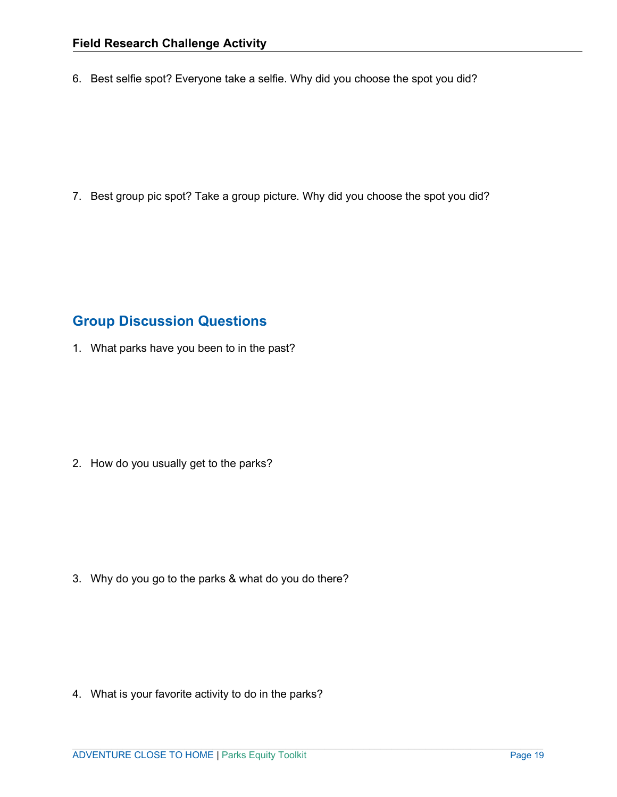6. Best selfie spot? Everyone take a selfie. Why did you choose the spot you did?

7. Best group pic spot? Take a group picture. Why did you choose the spot you did?

# **Group Discussion Questions**

1. What parks have you been to in the past?

2. How do you usually get to the parks?

3. Why do you go to the parks & what do you do there?

4. What is your favorite activity to do in the parks?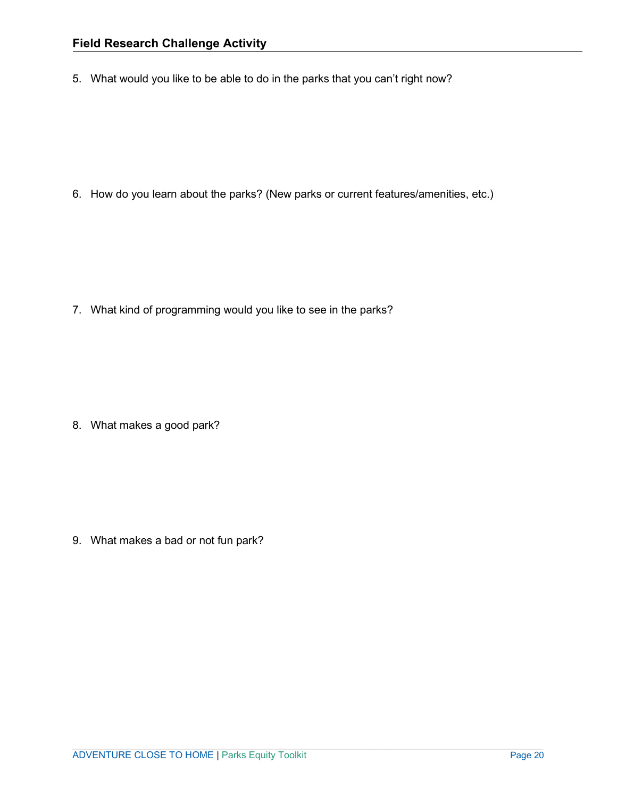5. What would you like to be able to do in the parks that you can't right now?

6. How do you learn about the parks? (New parks or current features/amenities, etc.)

7. What kind of programming would you like to see in the parks?

8. What makes a good park?

9. What makes a bad or not fun park?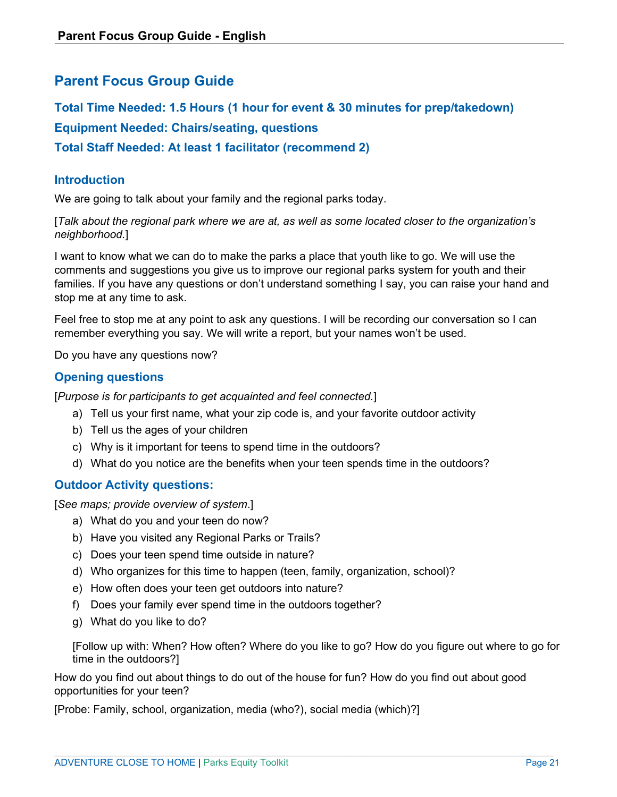# <span id="page-20-0"></span>**Parent Focus Group Guide**

**Total Time Needed: 1.5 Hours (1 hour for event & 30 minutes for prep/takedown) Equipment Needed: Chairs/seating, questions Total Staff Needed: At least 1 facilitator (recommend 2)**

## **Introduction**

We are going to talk about your family and the regional parks today.

[*Talk about the regional park where we are at, as well as some located closer to the organization's neighborhood.*]

I want to know what we can do to make the parks a place that youth like to go. We will use the comments and suggestions you give us to improve our regional parks system for youth and their families. If you have any questions or don't understand something I say, you can raise your hand and stop me at any time to ask.

Feel free to stop me at any point to ask any questions. I will be recording our conversation so I can remember everything you say. We will write a report, but your names won't be used.

Do you have any questions now?

## **Opening questions**

[*Purpose is for participants to get acquainted and feel connected.*]

- a) Tell us your first name, what your zip code is, and your favorite outdoor activity
- b) Tell us the ages of your children
- c) Why is it important for teens to spend time in the outdoors?
- d) What do you notice are the benefits when your teen spends time in the outdoors?

## **Outdoor Activity questions:**

[*See maps; provide overview of system*.]

- a) What do you and your teen do now?
- b) Have you visited any Regional Parks or Trails?
- c) Does your teen spend time outside in nature?
- d) Who organizes for this time to happen (teen, family, organization, school)?
- e) How often does your teen get outdoors into nature?
- f) Does your family ever spend time in the outdoors together?
- g) What do you like to do?

[Follow up with: When? How often? Where do you like to go? How do you figure out where to go for time in the outdoors?]

How do you find out about things to do out of the house for fun? How do you find out about good opportunities for your teen?

[Probe: Family, school, organization, media (who?), social media (which)?]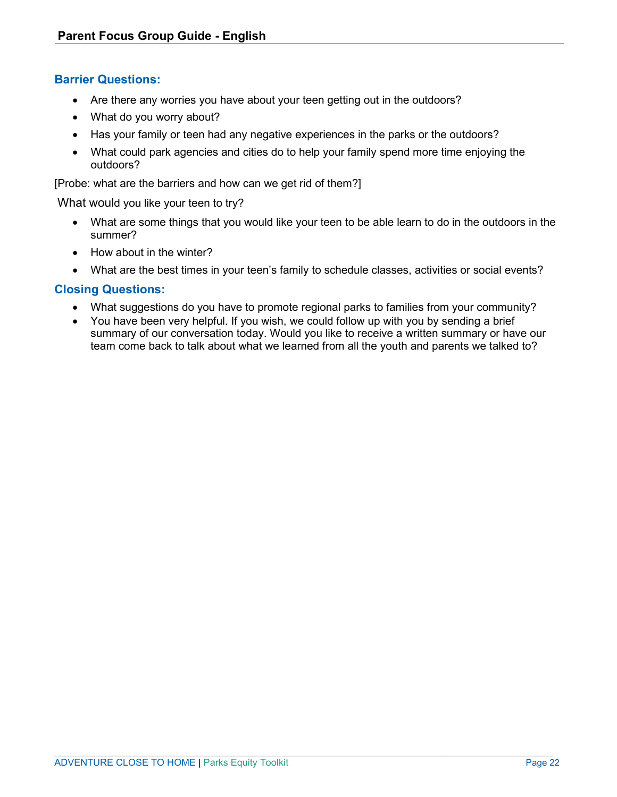## **Barrier Questions:**

- Are there any worries you have about your teen getting out in the outdoors?
- What do you worry about?
- Has your family or teen had any negative experiences in the parks or the outdoors?
- What could park agencies and cities do to help your family spend more time enjoying the outdoors?

[Probe: what are the barriers and how can we get rid of them?]

What would you like your teen to try?

- What are some things that you would like your teen to be able learn to do in the outdoors in the summer?
- How about in the winter?
- What are the best times in your teen's family to schedule classes, activities or social events?

## **Closing Questions:**

- What suggestions do you have to promote regional parks to families from your community?
- You have been very helpful. If you wish, we could follow up with you by sending a brief summary of our conversation today. Would you like to receive a written summary or have our team come back to talk about what we learned from all the youth and parents we talked to?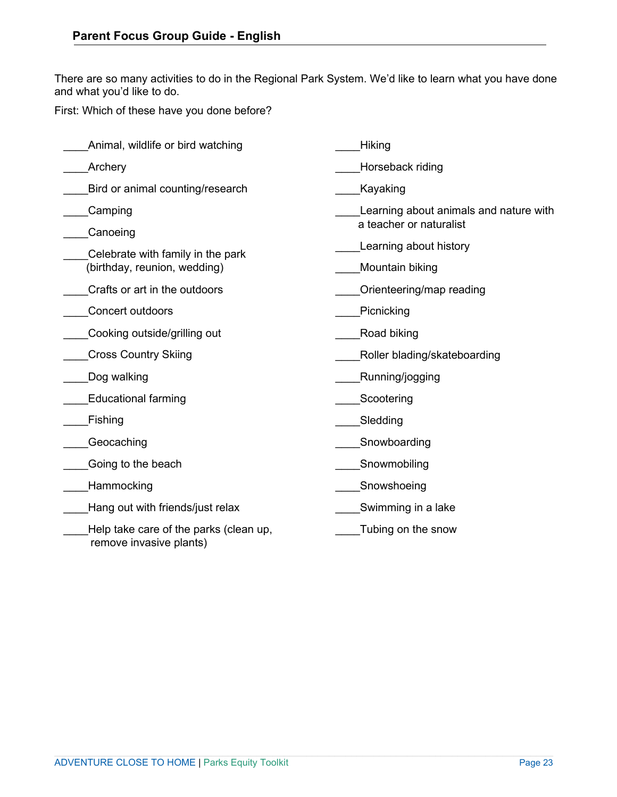There are so many activities to do in the Regional Park System. We'd like to learn what you have done and what you'd like to do.

First: Which of these have you done before?

| Animal, wildlife or bird watching                                 | Hiking                                 |
|-------------------------------------------------------------------|----------------------------------------|
| Archery                                                           | Horseback riding                       |
| Bird or animal counting/research                                  | Kayaking                               |
| Camping                                                           | Learning about animals and nature with |
| Canoeing                                                          | a teacher or naturalist                |
| Celebrate with family in the park                                 | Learning about history                 |
| (birthday, reunion, wedding)                                      | Mountain biking                        |
| Crafts or art in the outdoors                                     | Orienteering/map reading               |
| Concert outdoors                                                  | Picnicking                             |
| Cooking outside/grilling out                                      | Road biking                            |
| <b>Cross Country Skiing</b>                                       | Roller blading/skateboarding           |
| Dog walking                                                       | Running/jogging                        |
| <b>Educational farming</b>                                        | Scootering                             |
| Fishing                                                           | Sledding                               |
| Geocaching                                                        | Snowboarding                           |
| Going to the beach                                                | Snowmobiling                           |
| Hammocking                                                        | Snowshoeing                            |
| Hang out with friends/just relax                                  | Swimming in a lake                     |
| Help take care of the parks (clean up,<br>remove invasive plants) | Tubing on the snow                     |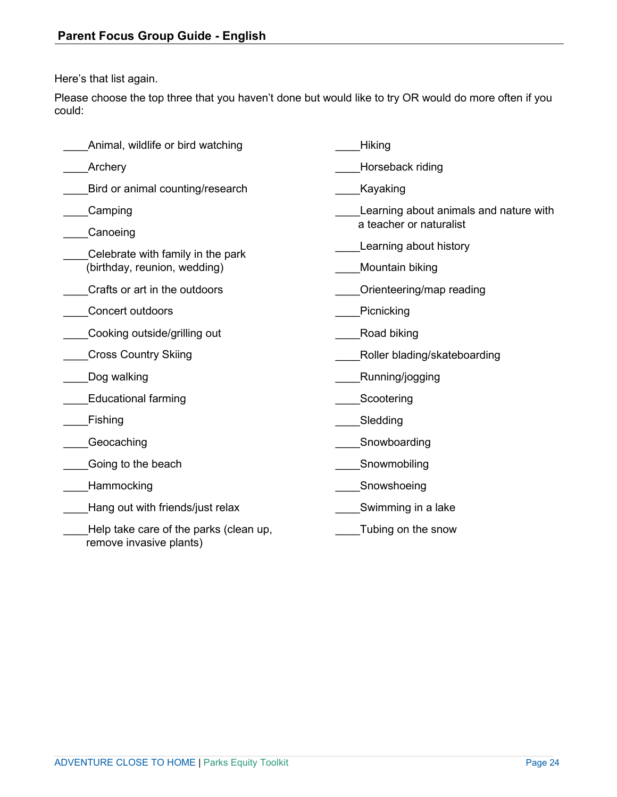Here's that list again.

Please choose the top three that you haven't done but would like to try OR would do more often if you could:

| Animal, wildlife or bird watching                                 | Hiking                                 |
|-------------------------------------------------------------------|----------------------------------------|
| Archery                                                           | Horseback riding                       |
| Bird or animal counting/research                                  | Kayaking                               |
| Camping                                                           | Learning about animals and nature with |
| Canoeing                                                          | a teacher or naturalist                |
| Celebrate with family in the park                                 | Learning about history                 |
| (birthday, reunion, wedding)                                      | Mountain biking                        |
| Crafts or art in the outdoors                                     | Orienteering/map reading               |
| <b>Concert outdoors</b>                                           | Picnicking                             |
| Cooking outside/grilling out                                      | Road biking                            |
| <b>Cross Country Skiing</b>                                       | Roller blading/skateboarding           |
| Dog walking                                                       | Running/jogging                        |
| <b>Educational farming</b>                                        | Scootering                             |
| Fishing                                                           | Sledding                               |
| Geocaching                                                        | Snowboarding                           |
| Going to the beach                                                | Snowmobiling                           |
| Hammocking                                                        | Snowshoeing                            |
| Hang out with friends/just relax                                  | Swimming in a lake                     |
| Help take care of the parks (clean up,<br>remove invasive plants) | Tubing on the snow                     |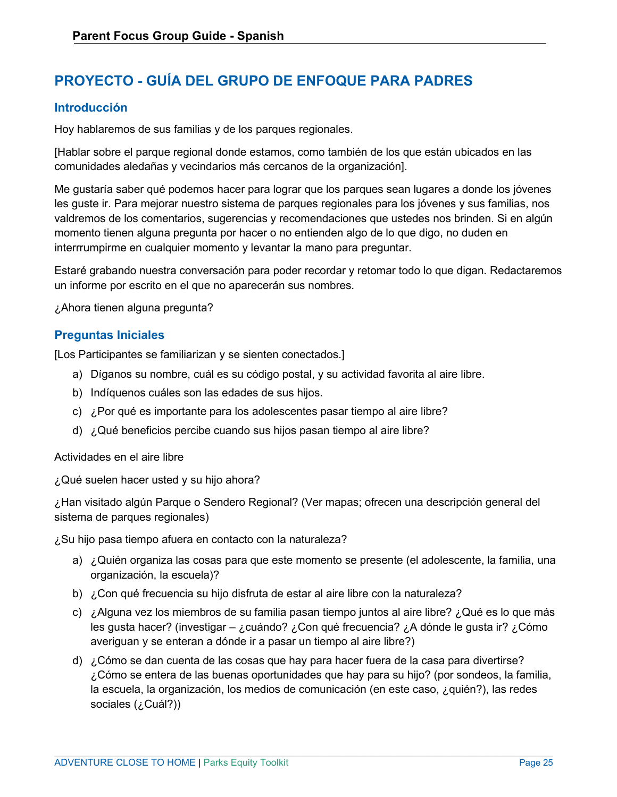# <span id="page-24-0"></span>**PROYECTO - GUÍA DEL GRUPO DE ENFOQUE PARA PADRES**

## **Introducción**

Hoy hablaremos de sus familias y de los parques regionales.

[Hablar sobre el parque regional donde estamos, como también de los que están ubicados en las comunidades aledañas y vecindarios más cercanos de la organización].

Me gustaría saber qué podemos hacer para lograr que los parques sean lugares a donde los jóvenes les guste ir. Para mejorar nuestro sistema de parques regionales para los jóvenes y sus familias, nos valdremos de los comentarios, sugerencias y recomendaciones que ustedes nos brinden. Si en algún momento tienen alguna pregunta por hacer o no entienden algo de lo que digo, no duden en interrrumpirme en cualquier momento y levantar la mano para preguntar.

Estaré grabando nuestra conversación para poder recordar y retomar todo lo que digan. Redactaremos un informe por escrito en el que no aparecerán sus nombres.

¿Ahora tienen alguna pregunta?

## **Preguntas Iniciales**

[Los Participantes se familiarizan y se sienten conectados.]

- a) Díganos su nombre, cuál es su código postal, y su actividad favorita al aire libre.
- b) Indíquenos cuáles son las edades de sus hijos.
- c) ¿Por qué es importante para los adolescentes pasar tiempo al aire libre?
- d) ¿Qué beneficios percibe cuando sus hijos pasan tiempo al aire libre?

#### Actividades en el aire libre

¿Qué suelen hacer usted y su hijo ahora?

¿Han visitado algún Parque o Sendero Regional? (Ver mapas; ofrecen una descripción general del sistema de parques regionales)

¿Su hijo pasa tiempo afuera en contacto con la naturaleza?

- a) ¿Quién organiza las cosas para que este momento se presente (el adolescente, la familia, una organización, la escuela)?
- b) ¿Con qué frecuencia su hijo disfruta de estar al aire libre con la naturaleza?
- c) ¿Alguna vez los miembros de su familia pasan tiempo juntos al aire libre? ¿Qué es lo que más les gusta hacer? (investigar – ¿cuándo? ¿Con qué frecuencia? ¿A dónde le gusta ir? ¿Cómo averiguan y se enteran a dónde ir a pasar un tiempo al aire libre?)
- d) ¿Cómo se dan cuenta de las cosas que hay para hacer fuera de la casa para divertirse? ¿Cómo se entera de las buenas oportunidades que hay para su hijo? (por sondeos, la familia, la escuela, la organización, los medios de comunicación (en este caso, ¿quién?), las redes sociales (¿Cuál?))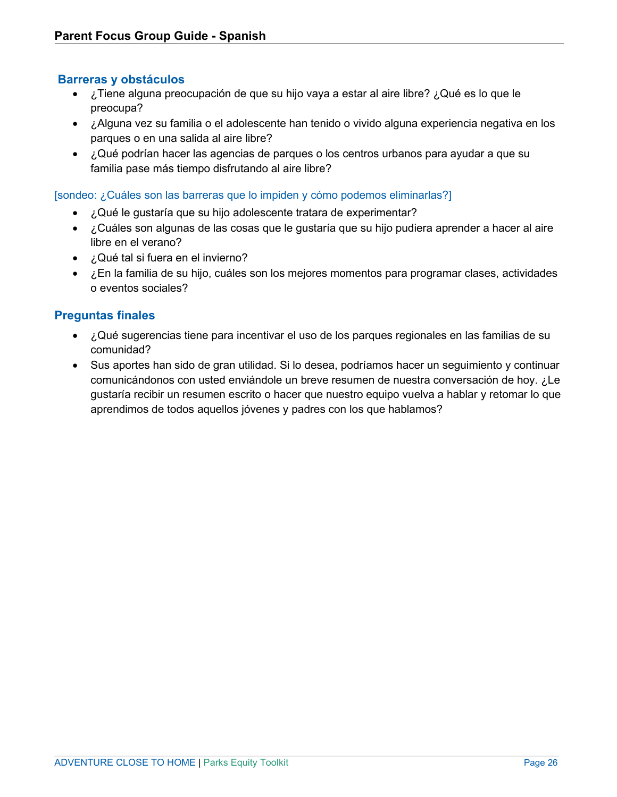## **Barreras y obstáculos**

- ¿Tiene alguna preocupación de que su hijo vaya a estar al aire libre? ¿Qué es lo que le preocupa?
- ¿Alguna vez su familia o el adolescente han tenido o vivido alguna experiencia negativa en los parques o en una salida al aire libre?
- ¿Qué podrían hacer las agencias de parques o los centros urbanos para ayudar a que su familia pase más tiempo disfrutando al aire libre?

[sondeo: ¿Cuáles son las barreras que lo impiden y cómo podemos eliminarlas?]

- ¿Qué le gustaría que su hijo adolescente tratara de experimentar?
- ¿Cuáles son algunas de las cosas que le gustaría que su hijo pudiera aprender a hacer al aire libre en el verano?
- ¿Qué tal si fuera en el invierno?
- ¿En la familia de su hijo, cuáles son los mejores momentos para programar clases, actividades o eventos sociales?

## **Preguntas finales**

- ¿Qué sugerencias tiene para incentivar el uso de los parques regionales en las familias de su comunidad?
- Sus aportes han sido de gran utilidad. Si lo desea, podríamos hacer un seguimiento y continuar comunicándonos con usted enviándole un breve resumen de nuestra conversación de hoy. ¿Le gustaría recibir un resumen escrito o hacer que nuestro equipo vuelva a hablar y retomar lo que aprendimos de todos aquellos jóvenes y padres con los que hablamos?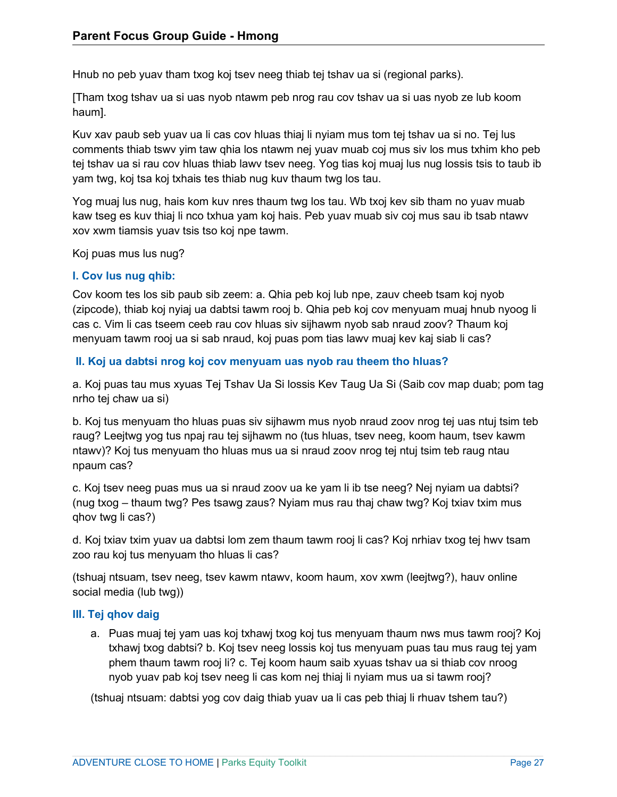Hnub no peb yuav tham txog koj tsev neeg thiab tej tshav ua si (regional parks).

[Tham txog tshav ua si uas nyob ntawm peb nrog rau cov tshav ua si uas nyob ze lub koom haum].

Kuv xav paub seb yuav ua li cas cov hluas thiaj li nyiam mus tom tej tshav ua si no. Tej lus comments thiab tswv yim taw qhia los ntawm nej yuav muab coj mus siv los mus txhim kho peb tej tshav ua si rau cov hluas thiab lawv tsev neeg. Yog tias koj muaj lus nug lossis tsis to taub ib yam twg, koj tsa koj txhais tes thiab nug kuv thaum twg los tau.

Yog muaj lus nug, hais kom kuv nres thaum twg los tau. Wb txoj kev sib tham no yuav muab kaw tseg es kuv thiaj li nco txhua yam koj hais. Peb yuav muab siv coj mus sau ib tsab ntawv xov xwm tiamsis yuav tsis tso koj npe tawm.

Koj puas mus lus nug?

## <span id="page-26-0"></span>**I. Cov lus nug qhib:**

Cov koom tes los sib paub sib zeem: a. Qhia peb koj lub npe, zauv cheeb tsam koj nyob (zipcode), thiab koj nyiaj ua dabtsi tawm rooj b. Qhia peb koj cov menyuam muaj hnub nyoog li cas c. Vim li cas tseem ceeb rau cov hluas siv sijhawm nyob sab nraud zoov? Thaum koj menyuam tawm rooj ua si sab nraud, koj puas pom tias lawv muaj kev kaj siab li cas?

## **II. Koj ua dabtsi nrog koj cov menyuam uas nyob rau theem tho hluas?**

a. Koj puas tau mus xyuas Tej Tshav Ua Si lossis Kev Taug Ua Si (Saib cov map duab; pom tag nrho tej chaw ua si)

b. Koj tus menyuam tho hluas puas siv sijhawm mus nyob nraud zoov nrog tej uas ntuj tsim teb raug? Leejtwg yog tus npaj rau tej sijhawm no (tus hluas, tsev neeg, koom haum, tsev kawm ntawv)? Koj tus menyuam tho hluas mus ua si nraud zoov nrog tej ntuj tsim teb raug ntau npaum cas?

c. Koj tsev neeg puas mus ua si nraud zoov ua ke yam li ib tse neeg? Nej nyiam ua dabtsi? (nug txog – thaum twg? Pes tsawg zaus? Nyiam mus rau thaj chaw twg? Koj txiav txim mus qhov twg li cas?)

d. Koj txiav txim yuav ua dabtsi lom zem thaum tawm rooj li cas? Koj nrhiav txog tej hwv tsam zoo rau koj tus menyuam tho hluas li cas?

(tshuaj ntsuam, tsev neeg, tsev kawm ntawv, koom haum, xov xwm (leejtwg?), hauv online social media (lub twg))

## **III. Tej qhov daig**

a. Puas muaj tej yam uas koj txhawj txog koj tus menyuam thaum nws mus tawm rooj? Koj txhawj txog dabtsi? b. Koj tsev neeg lossis koj tus menyuam puas tau mus raug tej yam phem thaum tawm rooj li? c. Tej koom haum saib xyuas tshav ua si thiab cov nroog nyob yuav pab koj tsev neeg li cas kom nej thiaj li nyiam mus ua si tawm rooj?

(tshuaj ntsuam: dabtsi yog cov daig thiab yuav ua li cas peb thiaj li rhuav tshem tau?)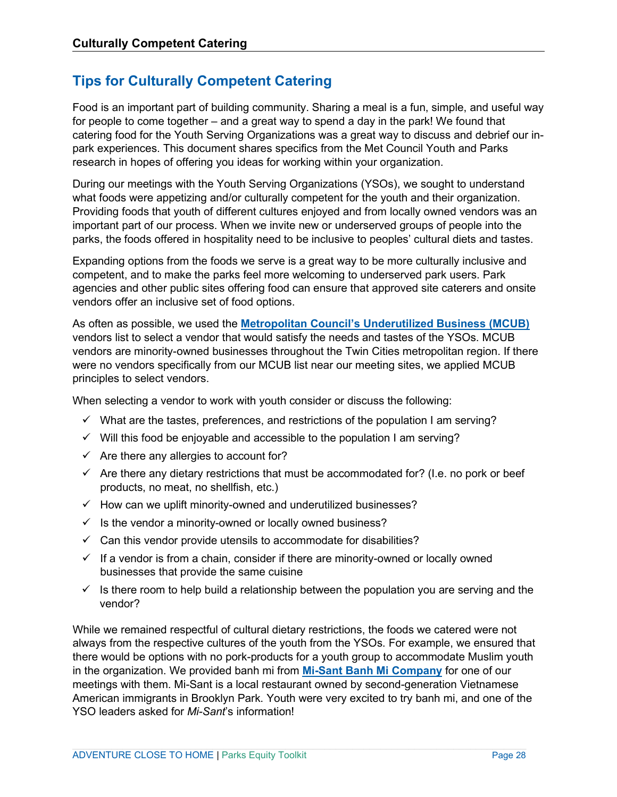# <span id="page-27-0"></span>**Tips for Culturally Competent Catering**

Food is an important part of building community. Sharing a meal is a fun, simple, and useful way for people to come together – and a great way to spend a day in the park! We found that catering food for the Youth Serving Organizations was a great way to discuss and debrief our inpark experiences. This document shares specifics from the Met Council Youth and Parks research in hopes of offering you ideas for working within your organization.

During our meetings with the Youth Serving Organizations (YSOs), we sought to understand what foods were appetizing and/or culturally competent for the youth and their organization. Providing foods that youth of different cultures enjoyed and from locally owned vendors was an important part of our process. When we invite new or underserved groups of people into the parks, the foods offered in hospitality need to be inclusive to peoples' cultural diets and tastes.

Expanding options from the foods we serve is a great way to be more culturally inclusive and competent, and to make the parks feel more welcoming to underserved park users. Park agencies and other public sites offering food can ensure that approved site caterers and onsite vendors offer an inclusive set of food options.

As often as possible, we used the **[Metropolitan Council's Underutilized Business \(MCUB\)](https://metcmn.sharepoint.com/sites/OfficeOfEqualOpportunity/SmallBusinessPrograms/SitePages/MCUB%20Program.aspx?csf=1&cid=b15a6345-1f2d-40ce-ac4a-f459e5409652)** vendors list to select a vendor that would satisfy the needs and tastes of the YSOs. MCUB vendors are minority-owned businesses throughout the Twin Cities metropolitan region. If there were no vendors specifically from our MCUB list near our meeting sites, we applied MCUB principles to select vendors.

When selecting a vendor to work with youth consider or discuss the following:

- $\checkmark$  What are the tastes, preferences, and restrictions of the population I am serving?
- $\checkmark$  Will this food be enjoyable and accessible to the population I am serving?
- $\checkmark$  Are there any allergies to account for?
- $\checkmark$  Are there any dietary restrictions that must be accommodated for? (I.e. no pork or beef products, no meat, no shellfish, etc.)
- $\checkmark$  How can we uplift minority-owned and underutilized businesses?
- $\checkmark$  Is the vendor a minority-owned or locally owned business?
- $\checkmark$  Can this vendor provide utensils to accommodate for disabilities?
- $\checkmark$  If a vendor is from a chain, consider if there are minority-owned or locally owned businesses that provide the same cuisine
- $\checkmark$  is there room to help build a relationship between the population you are serving and the vendor?

While we remained respectful of cultural dietary restrictions, the foods we catered were not always from the respective cultures of the youth from the YSOs. For example, we ensured that there would be options with no pork-products for a youth group to accommodate Muslim youth in the organization. We provided banh mi from **[Mi-Sant Banh Mi Company](https://mi-sant.com/)** for one of our meetings with them. Mi-Sant is a local restaurant owned by second-generation Vietnamese American immigrants in Brooklyn Park. Youth were very excited to try banh mi, and one of the YSO leaders asked for *Mi-Sant*'s information!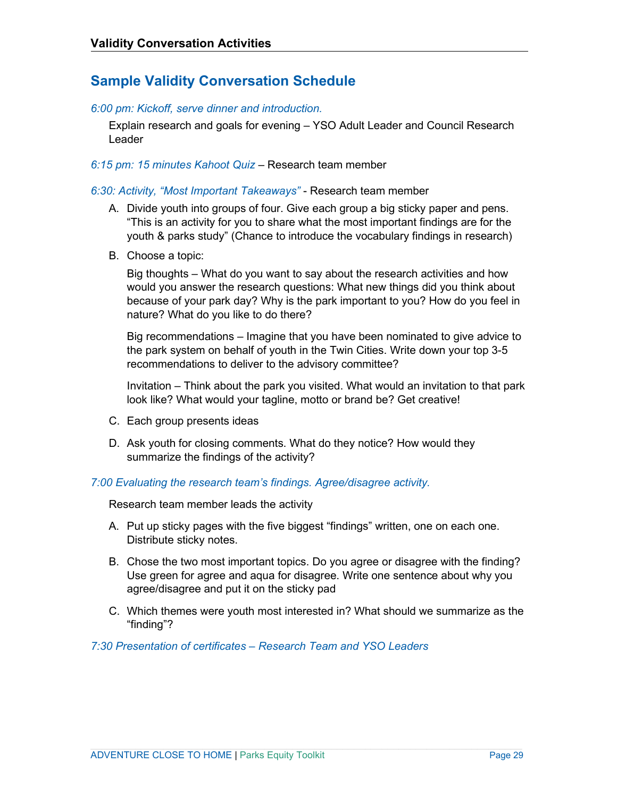# **Sample Validity Conversation Schedule**

#### *6:00 pm: Kickoff, serve dinner and introduction.*

Explain research and goals for evening – YSO Adult Leader and Council Research Leader

#### *6:15 pm: 15 minutes Kahoot Quiz* – Research team member

#### *6:30: Activity, "Most Important Takeaways"* - Research team member

- A. Divide youth into groups of four. Give each group a big sticky paper and pens. "This is an activity for you to share what the most important findings are for the youth & parks study" (Chance to introduce the vocabulary findings in research)
- B. Choose a topic:

Big thoughts – What do you want to say about the research activities and how would you answer the research questions: What new things did you think about because of your park day? Why is the park important to you? How do you feel in nature? What do you like to do there?

Big recommendations – Imagine that you have been nominated to give advice to the park system on behalf of youth in the Twin Cities. Write down your top 3-5 recommendations to deliver to the advisory committee?

Invitation – Think about the park you visited. What would an invitation to that park look like? What would your tagline, motto or brand be? Get creative!

- C. Each group presents ideas
- D. Ask youth for closing comments. What do they notice? How would they summarize the findings of the activity?

#### *7:00 Evaluating the research team's findings. Agree/disagree activity.*

Research team member leads the activity

- A. Put up sticky pages with the five biggest "findings" written, one on each one. Distribute sticky notes.
- B. Chose the two most important topics. Do you agree or disagree with the finding? Use green for agree and aqua for disagree. Write one sentence about why you agree/disagree and put it on the sticky pad
- C. Which themes were youth most interested in? What should we summarize as the "finding"?

*7:30 Presentation of certificates – Research Team and YSO Leaders*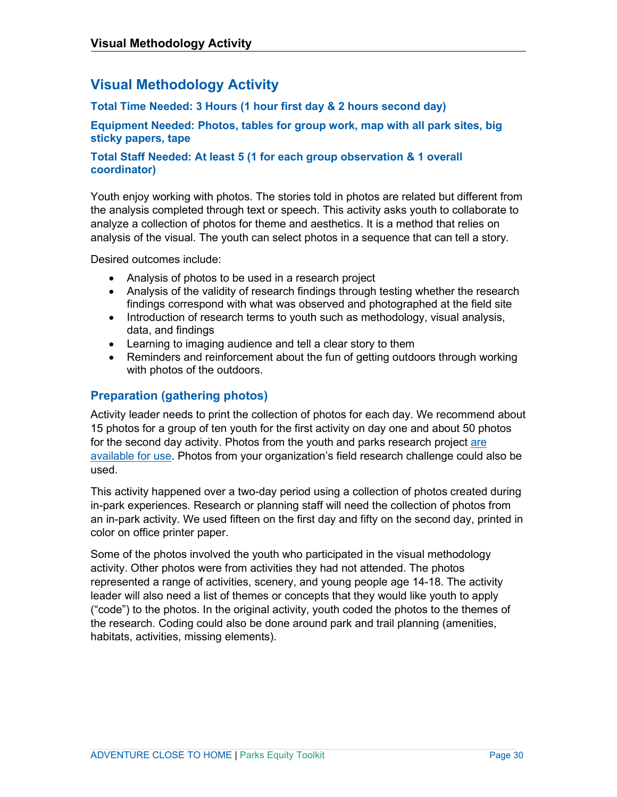# **Visual Methodology Activity**

## **Total Time Needed: 3 Hours (1 hour first day & 2 hours second day)**

**Equipment Needed: Photos, tables for group work, map with all park sites, big sticky papers, tape**

## **Total Staff Needed: At least 5 (1 for each group observation & 1 overall coordinator)**

Youth enjoy working with photos. The stories told in photos are related but different from the analysis completed through text or speech. This activity asks youth to collaborate to analyze a collection of photos for theme and aesthetics. It is a method that relies on analysis of the visual. The youth can select photos in a sequence that can tell a story.

Desired outcomes include:

- Analysis of photos to be used in a research project
- Analysis of the validity of research findings through testing whether the research findings correspond with what was observed and photographed at the field site
- Introduction of research terms to youth such as methodology, visual analysis, data, and findings
- Learning to imaging audience and tell a clear story to them
- Reminders and reinforcement about the fun of getting outdoors through working with photos of the outdoors.

## **Preparation (gathering photos)**

Activity leader needs to print the collection of photos for each day. We recommend about 15 photos for a group of ten youth for the first activity on day one and about 50 photos for the second day activity. Photos from the youth and parks research project [are](https://metrocouncil.org/Parks/Research/Youth-Parks/Process.aspx)  [available for use.](https://metrocouncil.org/Parks/Research/Youth-Parks/Process.aspx) Photos from your organization's field research challenge could also be used.

This activity happened over a two-day period using a collection of photos created during in-park experiences. Research or planning staff will need the collection of photos from an in-park activity. We used fifteen on the first day and fifty on the second day, printed in color on office printer paper.

Some of the photos involved the youth who participated in the visual methodology activity. Other photos were from activities they had not attended. The photos represented a range of activities, scenery, and young people age 14-18. The activity leader will also need a list of themes or concepts that they would like youth to apply ("code") to the photos. In the original activity, youth coded the photos to the themes of the research. Coding could also be done around park and trail planning (amenities, habitats, activities, missing elements).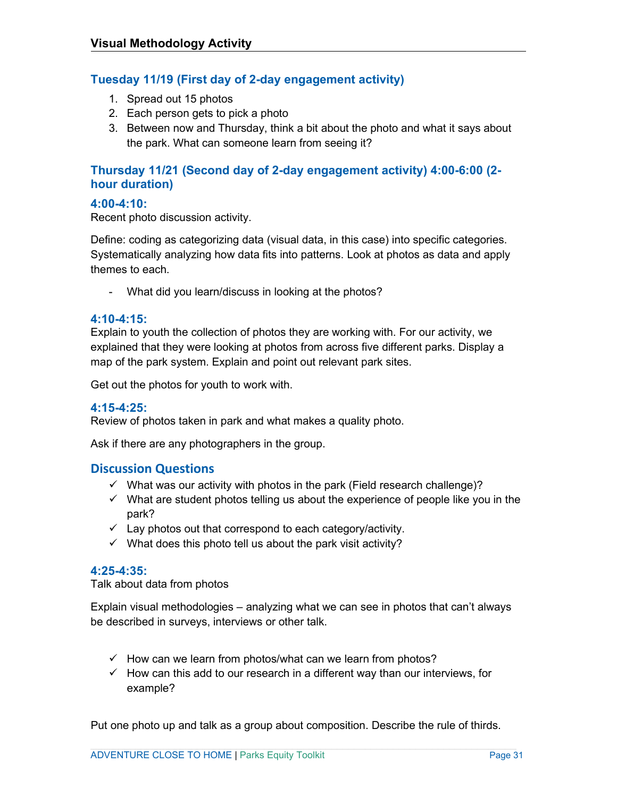## **Tuesday 11/19 (First day of 2-day engagement activity)**

- 1. Spread out 15 photos
- 2. Each person gets to pick a photo
- 3. Between now and Thursday, think a bit about the photo and what it says about the park. What can someone learn from seeing it?

## **Thursday 11/21 (Second day of 2-day engagement activity) 4:00-6:00 (2 hour duration)**

## **4:00-4:10:**

Recent photo discussion activity.

Define: coding as categorizing data (visual data, in this case) into specific categories. Systematically analyzing how data fits into patterns. Look at photos as data and apply themes to each.

- What did you learn/discuss in looking at the photos?

## **4:10-4:15:**

Explain to youth the collection of photos they are working with. For our activity, we explained that they were looking at photos from across five different parks. Display a map of the park system. Explain and point out relevant park sites.

Get out the photos for youth to work with.

## **4:15-4:25:**

Review of photos taken in park and what makes a quality photo.

Ask if there are any photographers in the group.

## **Discussion Questions**

- $\checkmark$  What was our activity with photos in the park (Field research challenge)?
- $\checkmark$  What are student photos telling us about the experience of people like you in the park?
- $\checkmark$  Lay photos out that correspond to each category/activity.
- $\checkmark$  What does this photo tell us about the park visit activity?

## **4:25-4:35:**

Talk about data from photos

Explain visual methodologies – analyzing what we can see in photos that can't always be described in surveys, interviews or other talk.

- $\checkmark$  How can we learn from photos/what can we learn from photos?
- $\checkmark$  How can this add to our research in a different way than our interviews, for example?

Put one photo up and talk as a group about composition. Describe the rule of thirds.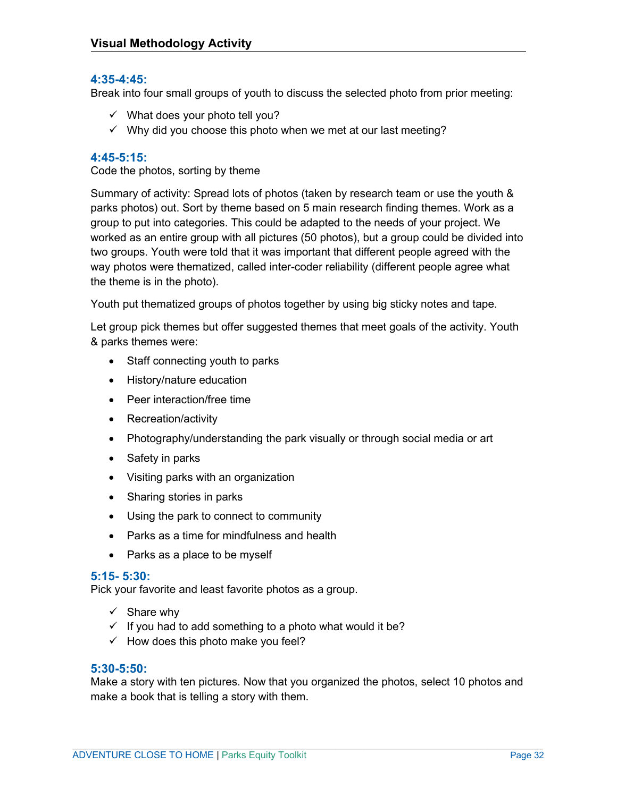## **4:35-4:45:**

Break into four small groups of youth to discuss the selected photo from prior meeting:

- $\checkmark$  What does your photo tell you?
- $\checkmark$  Why did you choose this photo when we met at our last meeting?

#### **4:45-5:15:**

Code the photos, sorting by theme

Summary of activity: Spread lots of photos (taken by research team or use the youth & parks photos) out. Sort by theme based on 5 main research finding themes. Work as a group to put into categories. This could be adapted to the needs of your project. We worked as an entire group with all pictures (50 photos), but a group could be divided into two groups. Youth were told that it was important that different people agreed with the way photos were thematized, called inter-coder reliability (different people agree what the theme is in the photo).

Youth put thematized groups of photos together by using big sticky notes and tape.

Let group pick themes but offer suggested themes that meet goals of the activity. Youth & parks themes were:

- Staff connecting youth to parks
- History/nature education
- Peer interaction/free time
- Recreation/activity
- Photography/understanding the park visually or through social media or art
- Safety in parks
- Visiting parks with an organization
- Sharing stories in parks
- Using the park to connect to community
- Parks as a time for mindfulness and health
- Parks as a place to be myself

#### **5:15- 5:30:**

Pick your favorite and least favorite photos as a group.

- $\checkmark$  Share why
- $\checkmark$  If you had to add something to a photo what would it be?
- $\checkmark$  How does this photo make you feel?

#### **5:30-5:50:**

Make a story with ten pictures. Now that you organized the photos, select 10 photos and make a book that is telling a story with them.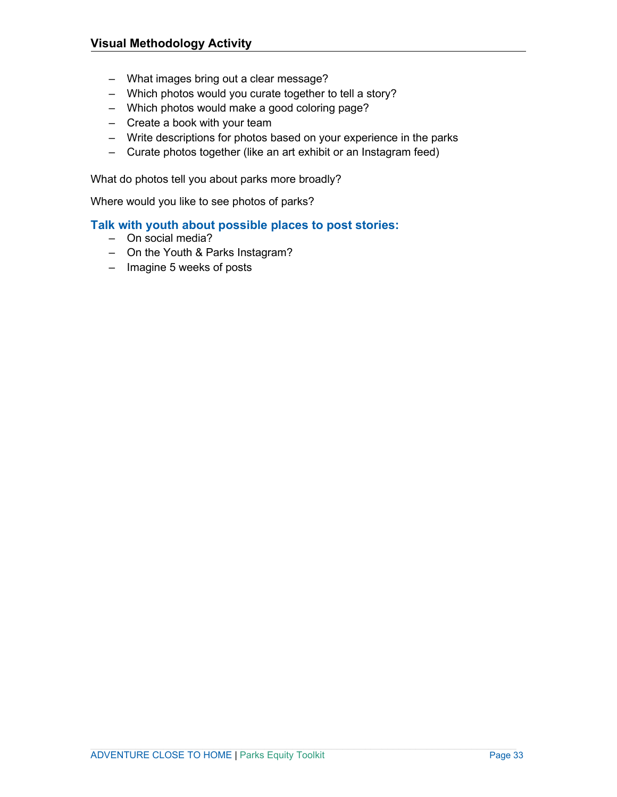- What images bring out a clear message?
- Which photos would you curate together to tell a story?
- Which photos would make a good coloring page?
- Create a book with your team
- Write descriptions for photos based on your experience in the parks
- Curate photos together (like an art exhibit or an Instagram feed)

What do photos tell you about parks more broadly?

Where would you like to see photos of parks?

#### **Talk with youth about possible places to post stories:**

- On social media?
- On the Youth & Parks Instagram?
- Imagine 5 weeks of posts